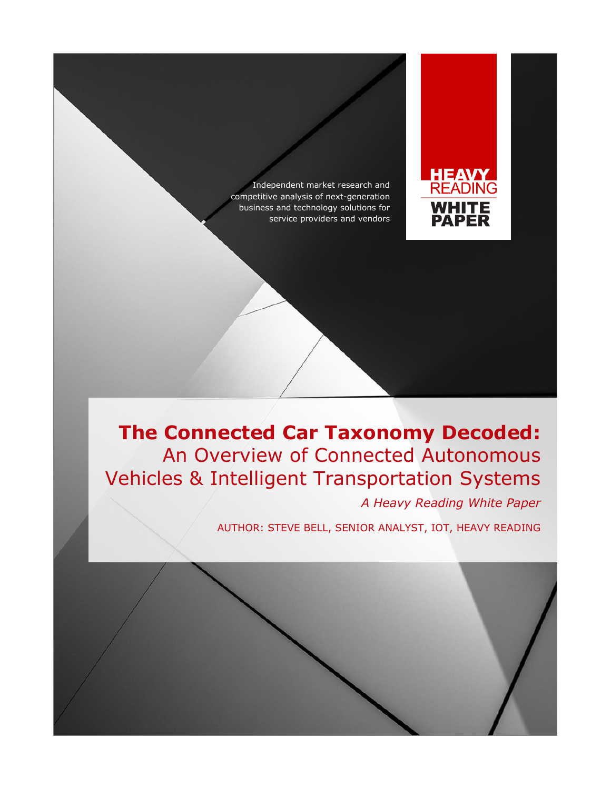Independent market research and competitive analysis of next-generation business and technology solutions for service providers and vendors



# **The Connected Car Taxonomy Decoded:** An Overview of Connected Autonomous Vehicles & Intelligent Transportation Systems

*A Heavy Reading White Paper*

AUTHOR: STEVE BELL, SENIOR ANALYST, IOT, HEAVY READING

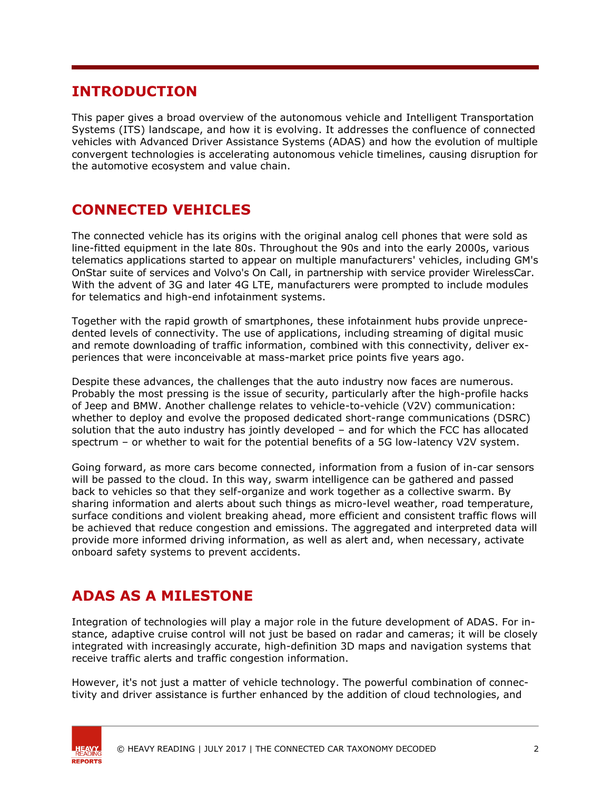### **INTRODUCTION**

This paper gives a broad overview of the autonomous vehicle and Intelligent Transportation Systems (ITS) landscape, and how it is evolving. It addresses the confluence of connected vehicles with Advanced Driver Assistance Systems (ADAS) and how the evolution of multiple convergent technologies is accelerating autonomous vehicle timelines, causing disruption for the automotive ecosystem and value chain.

# **CONNECTED VEHICLES**

The connected vehicle has its origins with the original analog cell phones that were sold as line-fitted equipment in the late 80s. Throughout the 90s and into the early 2000s, various telematics applications started to appear on multiple manufacturers' vehicles, including GM's OnStar suite of services and Volvo's On Call, in partnership with service provider WirelessCar. With the advent of 3G and later 4G LTE, manufacturers were prompted to include modules for telematics and high-end infotainment systems.

Together with the rapid growth of smartphones, these infotainment hubs provide unprecedented levels of connectivity. The use of applications, including streaming of digital music and remote downloading of traffic information, combined with this connectivity, deliver experiences that were inconceivable at mass-market price points five years ago.

Despite these advances, the challenges that the auto industry now faces are numerous. Probably the most pressing is the issue of security, particularly after the high-profile hacks of Jeep and BMW. Another challenge relates to vehicle-to-vehicle (V2V) communication: whether to deploy and evolve the proposed dedicated short-range communications (DSRC) solution that the auto industry has jointly developed – and for which the FCC has allocated spectrum – or whether to wait for the potential benefits of a 5G low-latency V2V system.

Going forward, as more cars become connected, information from a fusion of in-car sensors will be passed to the cloud. In this way, swarm intelligence can be gathered and passed back to vehicles so that they self-organize and work together as a collective swarm. By sharing information and alerts about such things as micro-level weather, road temperature, surface conditions and violent breaking ahead, more efficient and consistent traffic flows will be achieved that reduce congestion and emissions. The aggregated and interpreted data will provide more informed driving information, as well as alert and, when necessary, activate onboard safety systems to prevent accidents.

# **ADAS AS A MILESTONE**

Integration of technologies will play a major role in the future development of ADAS. For instance, adaptive cruise control will not just be based on radar and cameras; it will be closely integrated with increasingly accurate, high-definition 3D maps and navigation systems that receive traffic alerts and traffic congestion information.

However, it's not just a matter of vehicle technology. The powerful combination of connectivity and driver assistance is further enhanced by the addition of cloud technologies, and



© HEAVY READING | JULY 2017 | THE CONNECTED CAR TAXONOMY DECODED 2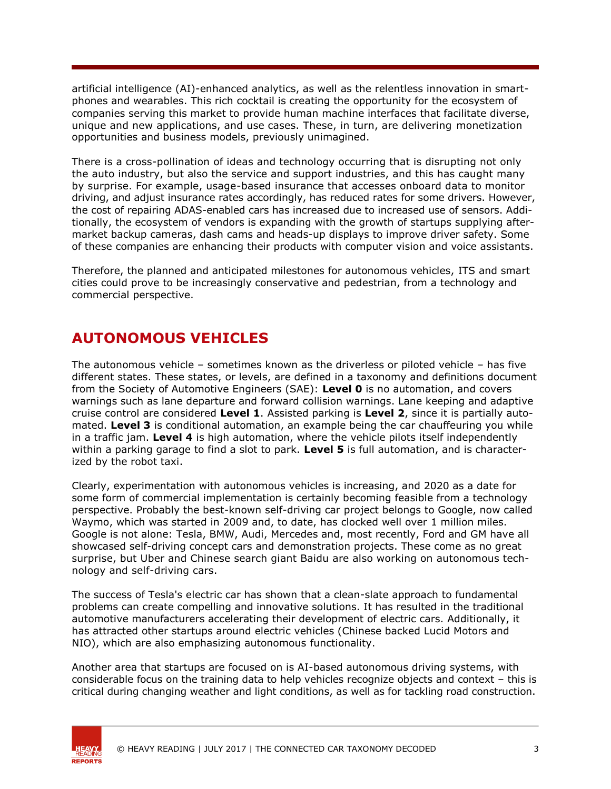artificial intelligence (AI)-enhanced analytics, as well as the relentless innovation in smartphones and wearables. This rich cocktail is creating the opportunity for the ecosystem of companies serving this market to provide human machine interfaces that facilitate diverse, unique and new applications, and use cases. These, in turn, are delivering monetization opportunities and business models, previously unimagined.

There is a cross-pollination of ideas and technology occurring that is disrupting not only the auto industry, but also the service and support industries, and this has caught many by surprise. For example, usage-based insurance that accesses onboard data to monitor driving, and adjust insurance rates accordingly, has reduced rates for some drivers. However, the cost of repairing ADAS-enabled cars has increased due to increased use of sensors. Additionally, the ecosystem of vendors is expanding with the growth of startups supplying aftermarket backup cameras, dash cams and heads-up displays to improve driver safety. Some of these companies are enhancing their products with computer vision and voice assistants.

Therefore, the planned and anticipated milestones for autonomous vehicles, ITS and smart cities could prove to be increasingly conservative and pedestrian, from a technology and commercial perspective.

#### **AUTONOMOUS VEHICLES**

The autonomous vehicle – sometimes known as the driverless or piloted vehicle – has five different states. These states, or levels, are defined in a taxonomy and definitions document from the Society of Automotive Engineers (SAE): **Level 0** is no automation, and covers warnings such as lane departure and forward collision warnings. Lane keeping and adaptive cruise control are considered **Level 1**. Assisted parking is **Level 2**, since it is partially automated. **Level 3** is conditional automation, an example being the car chauffeuring you while in a traffic jam. **Level 4** is high automation, where the vehicle pilots itself independently within a parking garage to find a slot to park. **Level 5** is full automation, and is characterized by the robot taxi.

Clearly, experimentation with autonomous vehicles is increasing, and 2020 as a date for some form of commercial implementation is certainly becoming feasible from a technology perspective. Probably the best-known self-driving car project belongs to Google, now called Waymo, which was started in 2009 and, to date, has clocked well over 1 million miles. Google is not alone: Tesla, BMW, Audi, Mercedes and, most recently, Ford and GM have all showcased self-driving concept cars and demonstration projects. These come as no great surprise, but Uber and Chinese search giant Baidu are also working on autonomous technology and self-driving cars.

The success of Tesla's electric car has shown that a clean-slate approach to fundamental problems can create compelling and innovative solutions. It has resulted in the traditional automotive manufacturers accelerating their development of electric cars. Additionally, it has attracted other startups around electric vehicles (Chinese backed Lucid Motors and NIO), which are also emphasizing autonomous functionality.

Another area that startups are focused on is AI-based autonomous driving systems, with considerable focus on the training data to help vehicles recognize objects and context – this is critical during changing weather and light conditions, as well as for tackling road construction.



© HEAVY READING | JULY 2017 | THE CONNECTED CAR TAXONOMY DECODED 3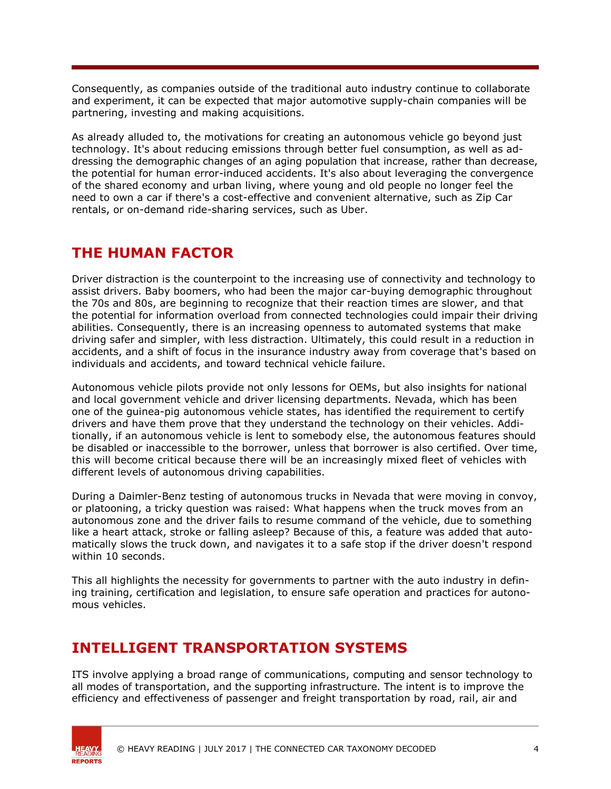Consequently, as companies outside of the traditional auto industry continue to collaborate and experiment, it can be expected that major automotive supply-chain companies will be partnering, investing and making acquisitions.

As already alluded to, the motivations for creating an autonomous vehicle go beyond just technology. It's about reducing emissions through better fuel consumption, as well as addressing the demographic changes of an aging population that increase, rather than decrease, the potential for human error-induced accidents. It's also about leveraging the convergence of the shared economy and urban living, where young and old people no longer feel the need to own a car if there's a cost-effective and convenient alternative, such as Zip Car rentals, or on-demand ride-sharing services, such as Uber.

#### **THE HUMAN FACTOR**

Driver distraction is the counterpoint to the increasing use of connectivity and technology to assist drivers. Baby boomers, who had been the major car-buying demographic throughout the 70s and 80s, are beginning to recognize that their reaction times are slower, and that the potential for information overload from connected technologies could impair their driving abilities. Consequently, there is an increasing openness to automated systems that make driving safer and simpler, with less distraction. Ultimately, this could result in a reduction in accidents, and a shift of focus in the insurance industry away from coverage that's based on individuals and accidents, and toward technical vehicle failure.

Autonomous vehicle pilots provide not only lessons for OEMs, but also insights for national and local government vehicle and driver licensing departments. Nevada, which has been one of the guinea-pig autonomous vehicle states, has identified the requirement to certify drivers and have them prove that they understand the technology on their vehicles. Additionally, if an autonomous vehicle is lent to somebody else, the autonomous features should be disabled or inaccessible to the borrower, unless that borrower is also certified. Over time, this will become critical because there will be an increasingly mixed fleet of vehicles with different levels of autonomous driving capabilities.

During a Daimler-Benz testing of autonomous trucks in Nevada that were moving in convoy, or platooning, a tricky question was raised: What happens when the truck moves from an autonomous zone and the driver fails to resume command of the vehicle, due to something like a heart attack, stroke or falling asleep? Because of this, a feature was added that automatically slows the truck down, and navigates it to a safe stop if the driver doesn't respond within 10 seconds.

This all highlights the necessity for governments to partner with the auto industry in defining training, certification and legislation, to ensure safe operation and practices for autonomous vehicles.

## **INTELLIGENT TRANSPORTATION SYSTEMS**

ITS involve applying a broad range of communications, computing and sensor technology to all modes of transportation, and the supporting infrastructure. The intent is to improve the efficiency and effectiveness of passenger and freight transportation by road, rail, air and



© HEAVY READING | JULY 2017 | THE CONNECTED CAR TAXONOMY DECODED 4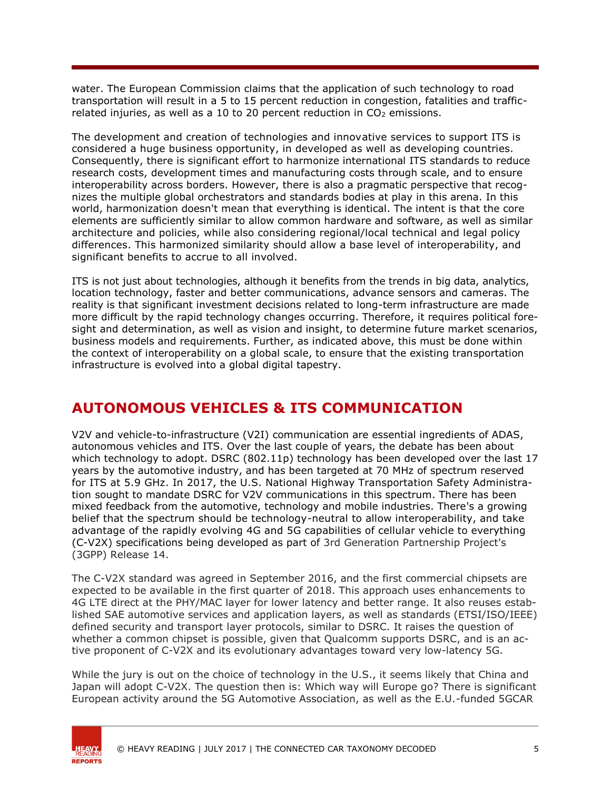water. The European Commission claims that the application of such technology to road transportation will result in a 5 to 15 percent reduction in congestion, fatalities and trafficrelated injuries, as well as a 10 to 20 percent reduction in  $CO<sub>2</sub>$  emissions.

The development and creation of technologies and innovative services to support ITS is considered a huge business opportunity, in developed as well as developing countries. Consequently, there is significant effort to harmonize international ITS standards to reduce research costs, development times and manufacturing costs through scale, and to ensure interoperability across borders. However, there is also a pragmatic perspective that recognizes the multiple global orchestrators and standards bodies at play in this arena. In this world, harmonization doesn't mean that everything is identical. The intent is that the core elements are sufficiently similar to allow common hardware and software, as well as similar architecture and policies, while also considering regional/local technical and legal policy differences. This harmonized similarity should allow a base level of interoperability, and significant benefits to accrue to all involved.

ITS is not just about technologies, although it benefits from the trends in big data, analytics, location technology, faster and better communications, advance sensors and cameras. The reality is that significant investment decisions related to long-term infrastructure are made more difficult by the rapid technology changes occurring. Therefore, it requires political foresight and determination, as well as vision and insight, to determine future market scenarios, business models and requirements. Further, as indicated above, this must be done within the context of interoperability on a global scale, to ensure that the existing transportation infrastructure is evolved into a global digital tapestry.

#### **AUTONOMOUS VEHICLES & ITS COMMUNICATION**

V2V and vehicle-to-infrastructure (V2I) communication are essential ingredients of ADAS, autonomous vehicles and ITS. Over the last couple of years, the debate has been about which technology to adopt. DSRC (802.11p) technology has been developed over the last 17 years by the automotive industry, and has been targeted at 70 MHz of spectrum reserved for ITS at 5.9 GHz. In 2017, the U.S. National Highway Transportation Safety Administration sought to mandate DSRC for V2V communications in this spectrum. There has been mixed feedback from the automotive, technology and mobile industries. There's a growing belief that the spectrum should be technology-neutral to allow interoperability, and take advantage of the rapidly evolving 4G and 5G capabilities of cellular vehicle to everything (C-V2X) specifications being developed as part of 3rd Generation Partnership Project's (3GPP) Release 14.

The C-V2X standard was agreed in September 2016, and the first commercial chipsets are expected to be available in the first quarter of 2018. This approach uses enhancements to 4G LTE direct at the PHY/MAC layer for lower latency and better range. It also reuses established SAE automotive services and application layers, as well as standards (ETSI/ISO/IEEE) defined security and transport layer protocols, similar to DSRC. It raises the question of whether a common chipset is possible, given that Qualcomm supports DSRC, and is an active proponent of C-V2X and its evolutionary advantages toward very low-latency 5G.

While the jury is out on the choice of technology in the U.S., it seems likely that China and Japan will adopt C-V2X. The question then is: Which way will Europe go? There is significant European activity around the 5G Automotive Association, as well as the E.U.-funded 5GCAR